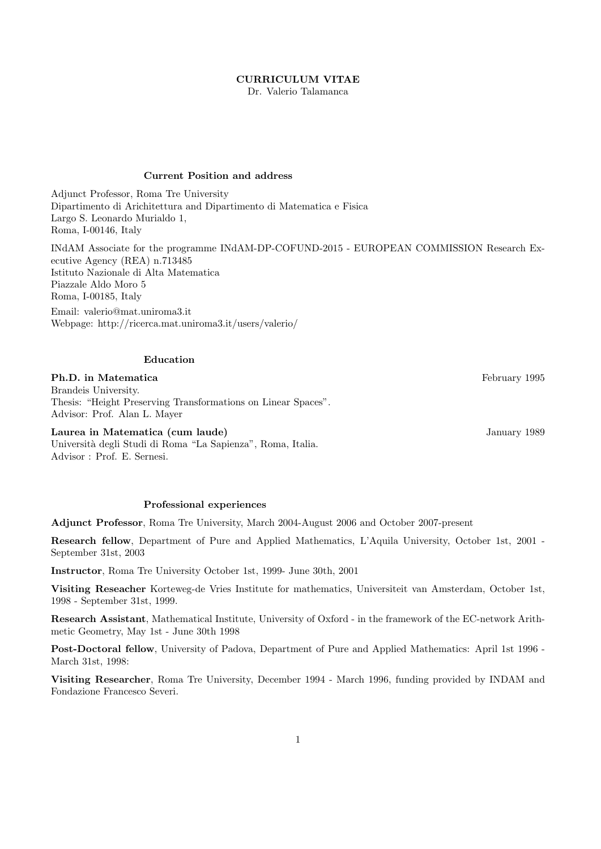### CURRICULUM VITAE

Dr. Valerio Talamanca

# Current Position and address

Adjunct Professor, Roma Tre University Dipartimento di Arichitettura and Dipartimento di Matematica e Fisica Largo S. Leonardo Murialdo 1, Roma, I-00146, Italy

INdAM Associate for the programme INdAM-DP-COFUND-2015 - EUROPEAN COMMISSION Research Executive Agency (REA) n.713485 Istituto Nazionale di Alta Matematica Piazzale Aldo Moro 5 Roma, I-00185, Italy

Email: valerio@mat.uniroma3.it Webpage: http://ricerca.mat.uniroma3.it/users/valerio/

### Education

### **Ph.D.** in Matematica February 1995

Brandeis University. Thesis: "Height Preserving Transformations on Linear Spaces". Advisor: Prof. Alan L. Mayer

Laurea in Matematica (cum laude) January 1989 Universit`a degli Studi di Roma "La Sapienza", Roma, Italia. Advisor : Prof. E. Sernesi.

# Professional experiences

Adjunct Professor, Roma Tre University, March 2004-August 2006 and October 2007-present

Research fellow, Department of Pure and Applied Mathematics, L'Aquila University, October 1st, 2001 - September 31st, 2003

Instructor, Roma Tre University October 1st, 1999- June 30th, 2001

Visiting Reseacher Korteweg-de Vries Institute for mathematics, Universiteit van Amsterdam, October 1st, 1998 - September 31st, 1999.

Research Assistant, Mathematical Institute, University of Oxford - in the framework of the EC-network Arithmetic Geometry, May 1st - June 30th 1998

Post-Doctoral fellow, University of Padova, Department of Pure and Applied Mathematics: April 1st 1996 - March 31st, 1998:

Visiting Researcher, Roma Tre University, December 1994 - March 1996, funding provided by INDAM and Fondazione Francesco Severi.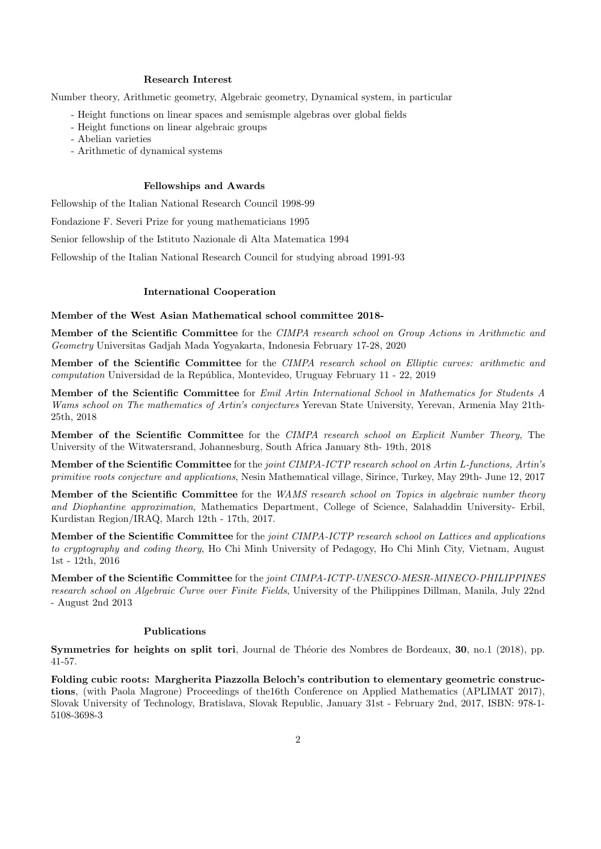### Research Interest

Number theory, Arithmetic geometry, Algebraic geometry, Dynamical system, in particular

- Height functions on linear spaces and semismple algebras over global fields
- Height functions on linear algebraic groups
- Abelian varieties
- Arithmetic of dynamical systems

#### Fellowships and Awards

Fellowship of the Italian National Research Council 1998-99

Fondazione F. Severi Prize for young mathematicians 1995

Senior fellowship of the Istituto Nazionale di Alta Matematica 1994

Fellowship of the Italian National Research Council for studying abroad 1991-93

### International Cooperation

#### Member of the West Asian Mathematical school committee 2018-

Member of the Scientific Committee for the CIMPA research school on Group Actions in Arithmetic and Geometry Universitas Gadjah Mada Yogyakarta, Indonesia February 17-28, 2020

Member of the Scientific Committee for the CIMPA research school on Elliptic curves: arithmetic and computation Universidad de la República, Montevideo, Uruguay February 11 - 22, 2019

Member of the Scientific Committee for Emil Artin International School in Mathematics for Students A Wams school on The mathematics of Artin's conjectures Yerevan State University, Yerevan, Armenia May 21th-25th, 2018

Member of the Scientific Committee for the CIMPA research school on Explicit Number Theory, The University of the Witwatersrand, Johannesburg, South Africa January 8th- 19th, 2018

Member of the Scientific Committee for the joint CIMPA-ICTP research school on Artin L-functions, Artin's primitive roots conjecture and applications, Nesin Mathematical village, Sirince, Turkey, May 29th- June 12, 2017

Member of the Scientific Committee for the WAMS research school on Topics in algebraic number theory and Diophantine approximation, Mathematics Department, College of Science, Salahaddin University- Erbil, Kurdistan Region/IRAQ, March 12th - 17th, 2017.

Member of the Scientific Committee for the joint CIMPA-ICTP research school on Lattices and applications to cryptography and coding theory, Ho Chi Minh University of Pedagogy, Ho Chi Minh City, Vietnam, August 1st - 12th, 2016

Member of the Scientific Committee for the joint CIMPA-ICTP-UNESCO-MESR-MINECO-PHILIPPINES research school on Algebraic Curve over Finite Fields, University of the Philippines Dillman, Manila, July 22nd - August 2nd 2013

#### Publications

Symmetries for heights on split tori, Journal de Théorie des Nombres de Bordeaux, 30, no.1 (2018), pp. 41-57.

Folding cubic roots: Margherita Piazzolla Beloch's contribution to elementary geometric constructions, (with Paola Magrone) Proceedings of the16th Conference on Applied Mathematics (APLIMAT 2017), Slovak University of Technology, Bratislava, Slovak Republic, January 31st - February 2nd, 2017, ISBN: 978-1- 5108-3698-3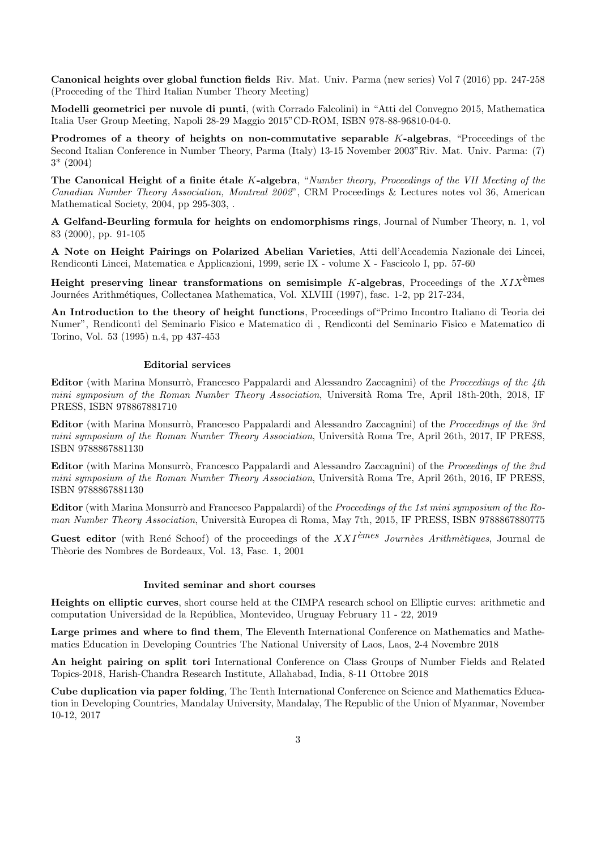Canonical heights over global function fields Riv. Mat. Univ. Parma (new series) Vol 7 (2016) pp. 247-258 (Proceeding of the Third Italian Number Theory Meeting)

Modelli geometrici per nuvole di punti, (with Corrado Falcolini) in "Atti del Convegno 2015, Mathematica Italia User Group Meeting, Napoli 28-29 Maggio 2015"CD-ROM, ISBN 978-88-96810-04-0.

Prodromes of a theory of heights on non-commutative separable K-algebras, "Proceedings of the Second Italian Conference in Number Theory, Parma (Italy) 13-15 November 2003"Riv. Mat. Univ. Parma: (7) 3\* (2004)

The Canonical Height of a finite étale  $K$ -algebra, "Number theory, Proceedings of the VII Meeting of the Canadian Number Theory Association, Montreal 2002", CRM Proceedings & Lectures notes vol 36, American Mathematical Society, 2004, pp 295-303, .

A Gelfand-Beurling formula for heights on endomorphisms rings, Journal of Number Theory, n. 1, vol 83 (2000), pp. 91-105

A Note on Height Pairings on Polarized Abelian Varieties, Atti dell'Accademia Nazionale dei Lincei, Rendiconti Lincei, Matematica e Applicazioni, 1999, serie IX - volume X - Fascicolo I, pp. 57-60

Height preserving linear transformations on semisimple K-algebras, Proceedings of the  $XIX^{\text{eimes}}$ Journées Arithmétiques, Collectanea Mathematica, Vol. XLVIII (1997), fasc. 1-2, pp 217-234,

An Introduction to the theory of height functions, Proceedings of"Primo Incontro Italiano di Teoria dei Numer", Rendiconti del Seminario Fisico e Matematico di , Rendiconti del Seminario Fisico e Matematico di Torino, Vol. 53 (1995) n.4, pp 437-453

#### Editorial services

Editor (with Marina Monsurrò, Francesco Pappalardi and Alessandro Zaccagnini) of the *Proceedings of the 4th* mini symposium of the Roman Number Theory Association, Università Roma Tre, April 18th-20th, 2018, IF PRESS, ISBN 978867881710

Editor (with Marina Monsurrò, Francesco Pappalardi and Alessandro Zaccagnini) of the Proceedings of the 3rd mini symposium of the Roman Number Theory Association, Università Roma Tre, April 26th, 2017, IF PRESS, ISBN 9788867881130

Editor (with Marina Monsurrò, Francesco Pappalardi and Alessandro Zaccagnini) of the *Proceedings of the 2nd* mini symposium of the Roman Number Theory Association, Università Roma Tre, April 26th, 2016, IF PRESS, ISBN 9788867881130

Editor (with Marina Monsurrò and Francesco Pappalardi) of the *Proceedings of the 1st mini symposium of the Ro*man Number Theory Association, Università Europea di Roma, May 7th, 2015, IF PRESS, ISBN 9788867880775

Guest editor (with René Schoof) of the proceedings of the  $XXI^{\text{èmes}}$  Journèes Arithmètiques, Journal de Thèorie des Nombres de Bordeaux, Vol. 13, Fasc. 1, 2001

#### Invited seminar and short courses

Heights on elliptic curves, short course held at the CIMPA research school on Elliptic curves: arithmetic and computation Universidad de la República, Montevideo, Uruguay February 11 - 22, 2019

Large primes and where to find them, The Eleventh International Conference on Mathematics and Mathematics Education in Developing Countries The National University of Laos, Laos, 2-4 Novembre 2018

An height pairing on split tori International Conference on Class Groups of Number Fields and Related Topics-2018, Harish-Chandra Research Institute, Allahabad, India, 8-11 Ottobre 2018

Cube duplication via paper folding, The Tenth International Conference on Science and Mathematics Education in Developing Countries, Mandalay University, Mandalay, The Republic of the Union of Myanmar, November 10-12, 2017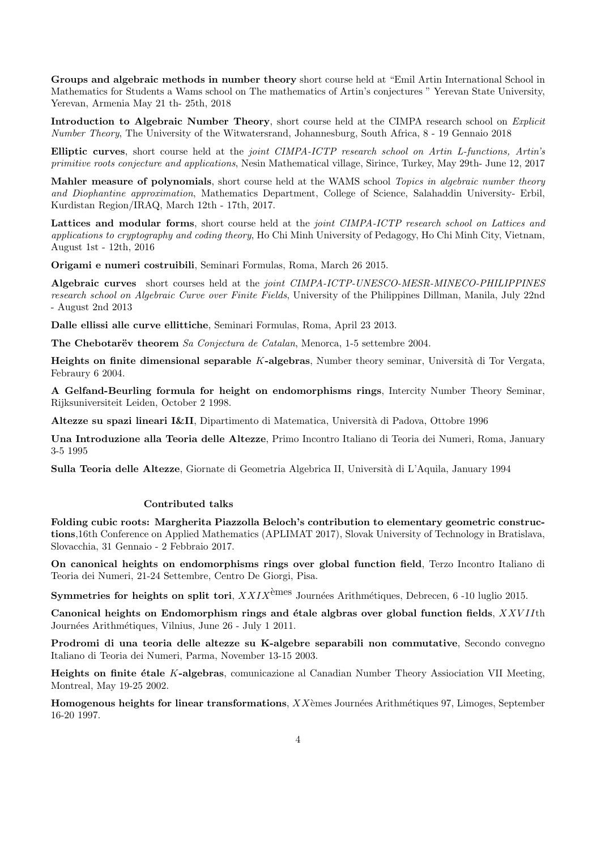Groups and algebraic methods in number theory short course held at "Emil Artin International School in Mathematics for Students a Wams school on The mathematics of Artin's conjectures " Yerevan State University, Yerevan, Armenia May 21 th- 25th, 2018

Introduction to Algebraic Number Theory, short course held at the CIMPA research school on Explicit Number Theory, The University of the Witwatersrand, Johannesburg, South Africa, 8 - 19 Gennaio 2018

Elliptic curves, short course held at the joint CIMPA-ICTP research school on Artin L-functions, Artin's primitive roots conjecture and applications, Nesin Mathematical village, Sirince, Turkey, May 29th- June 12, 2017

Mahler measure of polynomials, short course held at the WAMS school Topics in algebraic number theory and Diophantine approximation, Mathematics Department, College of Science, Salahaddin University- Erbil, Kurdistan Region/IRAQ, March 12th - 17th, 2017.

Lattices and modular forms, short course held at the *joint CIMPA-ICTP research school on Lattices and* applications to cryptography and coding theory, Ho Chi Minh University of Pedagogy, Ho Chi Minh City, Vietnam, August 1st - 12th, 2016

Origami e numeri costruibili, Seminari Formulas, Roma, March 26 2015.

Algebraic curves short courses held at the *joint CIMPA-ICTP-UNESCO-MESR-MINECO-PHILIPPINES* research school on Algebraic Curve over Finite Fields, University of the Philippines Dillman, Manila, July 22nd - August 2nd 2013

Dalle ellissi alle curve ellittiche, Seminari Formulas, Roma, April 23 2013.

The Chebotarëv theorem Sa Conjectura de Catalan, Menorca, 1-5 settembre 2004.

Heights on finite dimensional separable K-algebras, Number theory seminar, Università di Tor Vergata, Febraury 6 2004.

A Gelfand-Beurling formula for height on endomorphisms rings, Intercity Number Theory Seminar, Rijksuniversiteit Leiden, October 2 1998.

Altezze su spazi lineari I&II, Dipartimento di Matematica, Università di Padova, Ottobre 1996

Una Introduzione alla Teoria delle Altezze, Primo Incontro Italiano di Teoria dei Numeri, Roma, January 3-5 1995

Sulla Teoria delle Altezze, Giornate di Geometria Algebrica II, Università di L'Aquila, January 1994

# Contributed talks

Folding cubic roots: Margherita Piazzolla Beloch's contribution to elementary geometric constructions,16th Conference on Applied Mathematics (APLIMAT 2017), Slovak University of Technology in Bratislava, Slovacchia, 31 Gennaio - 2 Febbraio 2017.

On canonical heights on endomorphisms rings over global function field, Terzo Incontro Italiano di Teoria dei Numeri, 21-24 Settembre, Centro De Giorgi, Pisa.

**Symmetries for heights on split tori**,  $XXIX^{\text{eimes}}$  Journées Arithmétiques, Debrecen, 6 -10 luglio 2015.

Canonical heights on Endomorphism rings and étale algbras over global function fields,  $XXVII$ th Journées Arithmétiques, Vilnius, June 26 - July 1 2011.

Prodromi di una teoria delle altezze su K-algebre separabili non commutative, Secondo convegno Italiano di Teoria dei Numeri, Parma, November 13-15 2003.

Heights on finite étale K-algebras, comunicazione al Canadian Number Theory Assiociation VII Meeting, Montreal, May 19-25 2002.

**Homogenous heights for linear transformations,**  $XX$ èmes Journées Arithmétiques 97, Limoges, September 16-20 1997.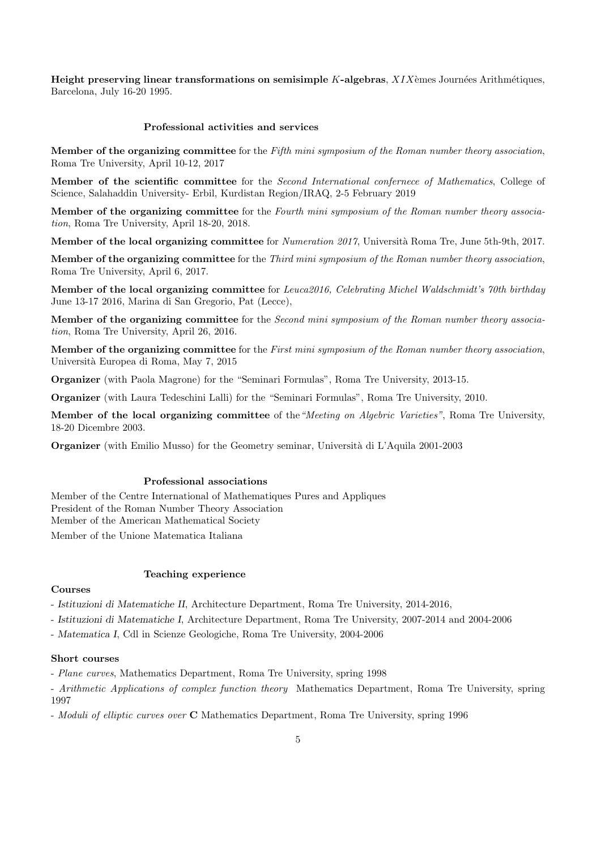Height preserving linear transformations on semisimple K-algebras,  $XIX$ èmes Journées Arithmétiques, Barcelona, July 16-20 1995.

### Professional activities and services

Member of the organizing committee for the Fifth mini symposium of the Roman number theory association, Roma Tre University, April 10-12, 2017

Member of the scientific committee for the Second International confernece of Mathematics, College of Science, Salahaddin University- Erbil, Kurdistan Region/IRAQ, 2-5 February 2019

Member of the organizing committee for the Fourth mini symposium of the Roman number theory association, Roma Tre University, April 18-20, 2018.

Member of the local organizing committee for *Numeration 2017*, Università Roma Tre, June 5th-9th, 2017.

Member of the organizing committee for the Third mini symposium of the Roman number theory association, Roma Tre University, April 6, 2017.

Member of the local organizing committee for Leuca2016, Celebrating Michel Waldschmidt's 70th birthday June 13-17 2016, Marina di San Gregorio, Pat (Lecce),

Member of the organizing committee for the Second mini symposium of the Roman number theory association, Roma Tre University, April 26, 2016.

Member of the organizing committee for the First mini symposium of the Roman number theory association, Universit`a Europea di Roma, May 7, 2015

Organizer (with Paola Magrone) for the "Seminari Formulas", Roma Tre University, 2013-15.

Organizer (with Laura Tedeschini Lalli) for the "Seminari Formulas", Roma Tre University, 2010.

Member of the local organizing committee of the"Meeting on Algebric Varieties", Roma Tre University, 18-20 Dicembre 2003.

Organizer (with Emilio Musso) for the Geometry seminar, Universit`a di L'Aquila 2001-2003

### Professional associations

Member of the Centre International of Mathematiques Pures and Appliques President of the Roman Number Theory Association Member of the American Mathematical Society Member of the Unione Matematica Italiana

### Teaching experience

### Courses

- Istituzioni di Matematiche II, Architecture Department, Roma Tre University, 2014-2016,

- Istituzioni di Matematiche I, Architecture Department, Roma Tre University, 2007-2014 and 2004-2006

- Matematica I, Cdl in Scienze Geologiche, Roma Tre University, 2004-2006

#### Short courses

- Plane curves, Mathematics Department, Roma Tre University, spring 1998

- Arithmetic Applications of complex function theory Mathematics Department, Roma Tre University, spring 1997

- Moduli of elliptic curves over **C** Mathematics Department, Roma Tre University, spring 1996